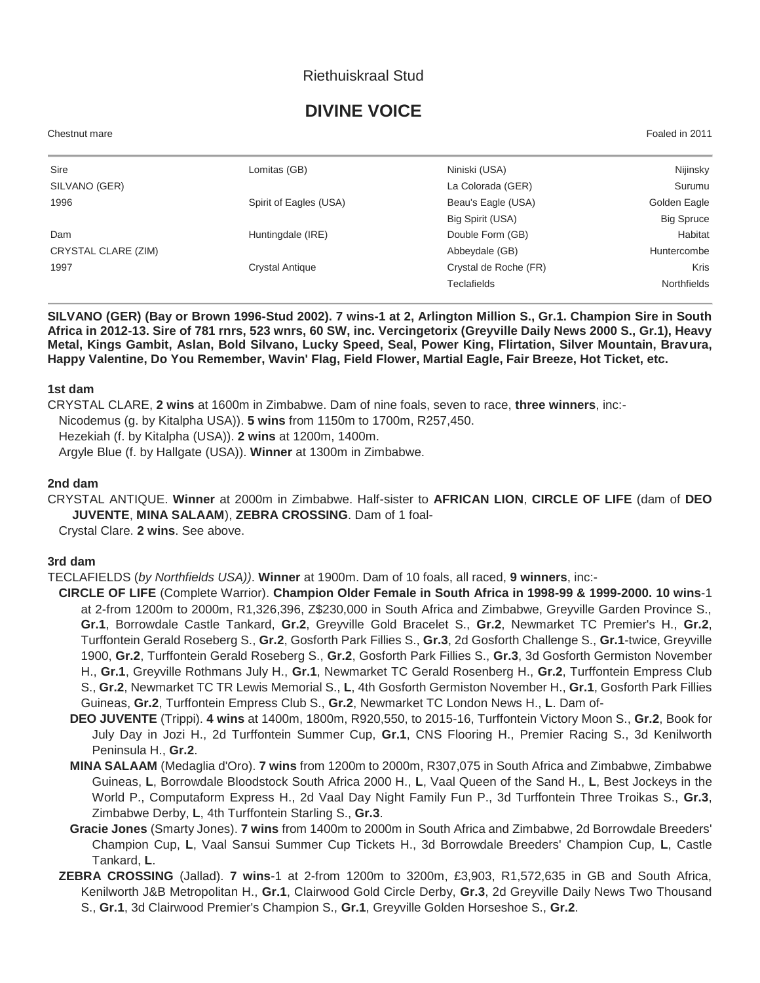## Riethuiskraal Stud

# **DIVINE VOICE**

Chestnut mare Foaled in 2011

| Sire                | Lomitas (GB)           | Niniski (USA)         | Nijinsky           |
|---------------------|------------------------|-----------------------|--------------------|
| SILVANO (GER)       |                        | La Colorada (GER)     | Surumu             |
| 1996                | Spirit of Eagles (USA) | Beau's Eagle (USA)    | Golden Eagle       |
|                     |                        | Big Spirit (USA)      | <b>Big Spruce</b>  |
| Dam                 | Huntingdale (IRE)      | Double Form (GB)      | Habitat            |
| CRYSTAL CLARE (ZIM) |                        | Abbeydale (GB)        | Huntercombe        |
| 1997                | <b>Crystal Antique</b> | Crystal de Roche (FR) | <b>Kris</b>        |
|                     |                        | <b>Teclafields</b>    | <b>Northfields</b> |

**SILVANO (GER) (Bay or Brown 1996-Stud 2002). 7 wins-1 at 2, Arlington Million S., Gr.1. Champion Sire in South Africa in 2012-13. Sire of 781 rnrs, 523 wnrs, 60 SW, inc. Vercingetorix (Greyville Daily News 2000 S., Gr.1), Heavy Metal, Kings Gambit, Aslan, Bold Silvano, Lucky Speed, Seal, Power King, Flirtation, Silver Mountain, Bravura, Happy Valentine, Do You Remember, Wavin' Flag, Field Flower, Martial Eagle, Fair Breeze, Hot Ticket, etc.**

#### **1st dam**

- CRYSTAL CLARE, **2 wins** at 1600m in Zimbabwe. Dam of nine foals, seven to race, **three winners**, inc:-
- Nicodemus (g. by Kitalpha USA)). **5 wins** from 1150m to 1700m, R257,450.

Hezekiah (f. by Kitalpha (USA)). **2 wins** at 1200m, 1400m.

Argyle Blue (f. by Hallgate (USA)). **Winner** at 1300m in Zimbabwe.

#### **2nd dam**

CRYSTAL ANTIQUE. **Winner** at 2000m in Zimbabwe. Half-sister to **AFRICAN LION**, **CIRCLE OF LIFE** (dam of **DEO JUVENTE**, **MINA SALAAM**), **ZEBRA CROSSING**. Dam of 1 foal-

Crystal Clare. **2 wins**. See above.

#### **3rd dam**

TECLAFIELDS (*by Northfields USA))*. **Winner** at 1900m. Dam of 10 foals, all raced, **9 winners**, inc:-

- **CIRCLE OF LIFE** (Complete Warrior). **Champion Older Female in South Africa in 1998-99 & 1999-2000. 10 wins**-1 at 2-from 1200m to 2000m, R1,326,396, Z\$230,000 in South Africa and Zimbabwe, Greyville Garden Province S., **Gr.1**, Borrowdale Castle Tankard, **Gr.2**, Greyville Gold Bracelet S., **Gr.2**, Newmarket TC Premier's H., **Gr.2**, Turffontein Gerald Roseberg S., **Gr.2**, Gosforth Park Fillies S., **Gr.3**, 2d Gosforth Challenge S., **Gr.1**-twice, Greyville 1900, **Gr.2**, Turffontein Gerald Roseberg S., **Gr.2**, Gosforth Park Fillies S., **Gr.3**, 3d Gosforth Germiston November H., **Gr.1**, Greyville Rothmans July H., **Gr.1**, Newmarket TC Gerald Rosenberg H., **Gr.2**, Turffontein Empress Club S., **Gr.2**, Newmarket TC TR Lewis Memorial S., **L**, 4th Gosforth Germiston November H., **Gr.1**, Gosforth Park Fillies Guineas, **Gr.2**, Turffontein Empress Club S., **Gr.2**, Newmarket TC London News H., **L**. Dam of-
	- **DEO JUVENTE** (Trippi). **4 wins** at 1400m, 1800m, R920,550, to 2015-16, Turffontein Victory Moon S., **Gr.2**, Book for July Day in Jozi H., 2d Turffontein Summer Cup, **Gr.1**, CNS Flooring H., Premier Racing S., 3d Kenilworth Peninsula H., **Gr.2**.
	- **MINA SALAAM** (Medaglia d'Oro). **7 wins** from 1200m to 2000m, R307,075 in South Africa and Zimbabwe, Zimbabwe Guineas, **L**, Borrowdale Bloodstock South Africa 2000 H., **L**, Vaal Queen of the Sand H., **L**, Best Jockeys in the World P., Computaform Express H., 2d Vaal Day Night Family Fun P., 3d Turffontein Three Troikas S., **Gr.3**, Zimbabwe Derby, **L**, 4th Turffontein Starling S., **Gr.3**.
	- **Gracie Jones** (Smarty Jones). **7 wins** from 1400m to 2000m in South Africa and Zimbabwe, 2d Borrowdale Breeders' Champion Cup, **L**, Vaal Sansui Summer Cup Tickets H., 3d Borrowdale Breeders' Champion Cup, **L**, Castle Tankard, **L**.
- **ZEBRA CROSSING** (Jallad). **7 wins**-1 at 2-from 1200m to 3200m, £3,903, R1,572,635 in GB and South Africa, Kenilworth J&B Metropolitan H., **Gr.1**, Clairwood Gold Circle Derby, **Gr.3**, 2d Greyville Daily News Two Thousand S., **Gr.1**, 3d Clairwood Premier's Champion S., **Gr.1**, Greyville Golden Horseshoe S., **Gr.2**.